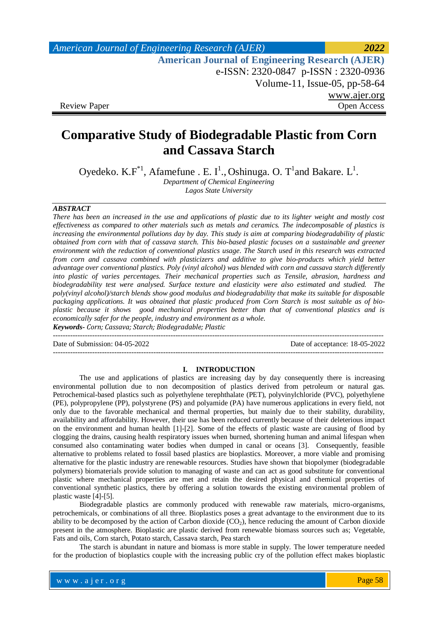| American Journal of Engineering Research (AJER)        | 2022         |
|--------------------------------------------------------|--------------|
| <b>American Journal of Engineering Research (AJER)</b> |              |
| e-ISSN: 2320-0847 p-ISSN: 2320-0936                    |              |
| Volume-11, Issue-05, pp-58-64                          |              |
|                                                        | www.ajer.org |
| <b>Review Paper</b>                                    | Open Access  |

# **Comparative Study of Biodegradable Plastic from Corn and Cassava Starch**

Oyedeko. K. $F^*$ <sup>1</sup>, Afamefune . E. I<sup>1</sup>., Oshinuga. O. T<sup>1</sup> and Bakare. L<sup>1</sup>.

*Department of Chemical Engineering Lagos State University*

# *ABSTRACT*

*There has been an increased in the use and applications of plastic due to its lighter weight and mostly cost effectiveness as compared to other materials such as metals and ceramics. The indecomposable of plastics is increasing the environmental pollutions day by day. This study is aim at comparing biodegradability of plastic obtained from corn with that of cassava starch. This bio-based plastic focuses on a sustainable and greener environment with the reduction of conventional plastics usage. The Starch used in this research was extracted from corn and cassava combined with plasticizers and additive to give bio-products which yield better advantage over conventional plastics. Poly (vinyl alcohol) was blended with corn and cassava starch differently into plastic of varies percentages. Their mechanical properties such as Tensile, abrasion, hardness and biodegradability test were analysed. Surface texture and elasticity were also estimated and studied. The poly(vinyl alcohol)/starch blends show good modulus and biodegradability that make its suitable for disposable packaging applications. It was obtained that plastic produced from Corn Starch is most suitable as of bioplastic because it shows good mechanical properties better than that of conventional plastics and is economically safer for the people, industry and environment as a whole. Keywords***-** *Corn; Cassava; Starch; Biodegradable; Plastic*

 $-1-\frac{1}{2}$ 

Date of Submission: 04-05-2022 Date of acceptance: 18-05-2022

---------------------------------------------------------------------------------------------------------------------------------------

### **I. INTRODUCTION**

The use and applications of plastics are increasing day by day consequently there is increasing environmental pollution due to non decomposition of plastics derived from petroleum or natural gas. Petrochemical-based plastics such as polyethylene terephthalate (PET), polyvinylchloride (PVC), polyethylene (PE), polypropylene (PP), polystyrene (PS) and polyamide (PA) have numerous applications in every field, not only due to the favorable mechanical and thermal properties, but mainly due to their stability, durability, availability and affordability. However, their use has been reduced currently because of their deleterious impact on the environment and human health [1]-[2]. Some of the effects of plastic waste are causing of flood by clogging the drains, causing health respiratory issues when burned, shortening human and animal lifespan when consumed also contaminating water bodies when dumped in canal or oceans [3]. Consequently, feasible alternative to problems related to fossil based plastics are bioplastics. Moreover, a more viable and promising alternative for the plastic industry are renewable resources. Studies have shown that biopolymer (biodegradable polymers) biomaterials provide solution to managing of waste and can act as good substitute for conventional plastic where mechanical properties are met and retain the desired physical and chemical properties of conventional synthetic plastics, there by offering a solution towards the existing environmental problem of plastic waste [4]-[5].

Biodegradable plastics are commonly produced with renewable raw materials, micro-organisms, petrochemicals, or combinations of all three. Bioplastics poses a great advantage to the environment due to its ability to be decomposed by the action of Carbon dioxide  $(CO<sub>2</sub>)$ , hence reducing the amount of Carbon dioxide present in the atmosphere. Bioplastic are plastic derived from renewable biomass sources such as; Vegetable, Fats and oils, Corn starch, Potato starch, Cassava starch, Pea starch

The starch is abundant in nature and biomass is more stable in supply. The lower temperature needed for the production of bioplastics couple with the increasing public cry of the pollution effect makes bioplastic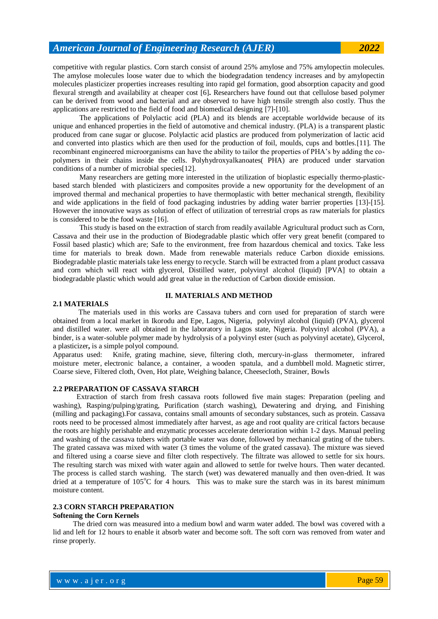competitive with regular plastics. Corn starch consist of around 25% amylose and 75% amylopectin molecules. The amylose molecules loose water due to which the biodegradation tendency increases and by amylopectin molecules plasticizer properties increases resulting into rapid gel formation, good absorption capacity and good flexural strength and availability at cheaper cost [6]**.** Researchers have found out that cellulose based polymer can be derived from wood and bacterial and are observed to have high tensile strength also costly. Thus the applications are restricted to the field of food and biomedical designing [7]-[10].

The applications of Polylactic acid (PLA) and its blends are acceptable worldwide because of its unique and enhanced properties in the field of automotive and chemical industry. (PLA) is a transparent plastic produced from cane sugar or glucose. Polylactic acid plastics are produced from polymerization of lactic acid and converted into plastics which are then used for the production of foil, moulds, cups and bottles.[11]. The recombinant engineered microorganisms can have the ability to tailor the properties of PHA's by adding the copolymers in their chains inside the cells. Polyhydroxyalkanoates( PHA) are produced under starvation conditions of a number of microbial species[12].

Many researchers are getting more interested in the utilization of bioplastic especially thermo-plasticbased starch blended with plasticizers and composites provide a new opportunity for the development of an improved thermal and mechanical properties to have thermoplastic with better mechanical strength, flexibility and wide applications in the field of food packaging industries by adding water barrier properties [13]-[15]. However the innovative ways as solution of effect of utilization of terrestrial crops as raw materials for plastics is considered to be the food waste [16].

This study is based on the extraction of starch from readily available Agricultural product such as Corn, Cassava and their use in the production of Biodegradable plastic which offer very great benefit (compared to Fossil based plastic) which are; Safe to the environment, free from hazardous chemical and toxics. Take less time for materials to break down. Made from renewable materials reduce Carbon dioxide emissions. Biodegradable plastic materials take less energy to recycle. Starch will be extracted from a plant product cassava and corn which will react with glycerol, Distilled water, polyvinyl alcohol (liquid) [PVA] to obtain a biodegradable plastic which would add great value in the reduction of Carbon dioxide emission.

# **II. MATERIALS AND METHOD**

## **2.1 MATERIALS**

 The materials used in this works are Cassava tubers and corn used for preparation of starch were obtained from a local market in Ikorodu and Epe, Lagos, Nigeria, polyvinyl alcohol (liquid) (PVA), glycerol and distilled water. were all obtained in the laboratory in Lagos state, Nigeria. Polyvinyl alcohol (PVA), a binder, is a water-soluble polymer made by hydrolysis of a polyvinyl ester (such as polyvinyl acetate), Glycerol, a plasticizer**,** is a simple polyol compound.

Apparatus used: Knife, grating machine, sieve, filtering cloth, mercury-in-glass thermometer, infrared moisture meter, electronic balance, a container, a wooden spatula, and a dumbbell mold. Magnetic stirrer, Coarse sieve, Filtered cloth, Oven, Hot plate, Weighing balance, Cheesecloth, Strainer, Bowls

#### **2.2 PREPARATION OF CASSAVA STARCH**

 Extraction of starch from fresh cassava roots followed five main stages: Preparation (peeling and washing), Rasping/pulping/grating, Purification (starch washing), Dewatering and drying, and Finishing (milling and packaging).For cassava, contains small amounts of secondary substances, such as protein. Cassava roots need to be processed almost immediately after harvest, as age and root quality are critical factors because the roots are highly perishable and enzymatic processes accelerate deterioration within 1-2 days. Manual peeling and washing of the cassava tubers with portable water was done, followed by mechanical grating of the tubers. The grated cassava was mixed with water (3 times the volume of the grated cassava). The mixture was sieved and filtered using a coarse sieve and filter cloth respectively. The filtrate was allowed to settle for six hours. The resulting starch was mixed with water again and allowed to settle for twelve hours. Then water decanted. The process is called starch washing. The starch (wet) was dewatered manually and then oven-dried. It was dried at a temperature of  $105^{\circ}$ C for 4 hours. This was to make sure the starch was in its barest minimum moisture content.

#### **2.3 CORN STARCH PREPARATION**

#### **Softening the Corn Kernels**

 The dried corn was measured into a medium bowl and warm water added. The bowl was covered with a lid and left for 12 hours to enable it absorb water and become soft. The soft corn was removed from water and rinse properly.

where  $\mathcal{L} = \mathcal{L} \left( \mathcal{L} \right)$  is the set of  $\mathcal{L} \left( \mathcal{L} \right)$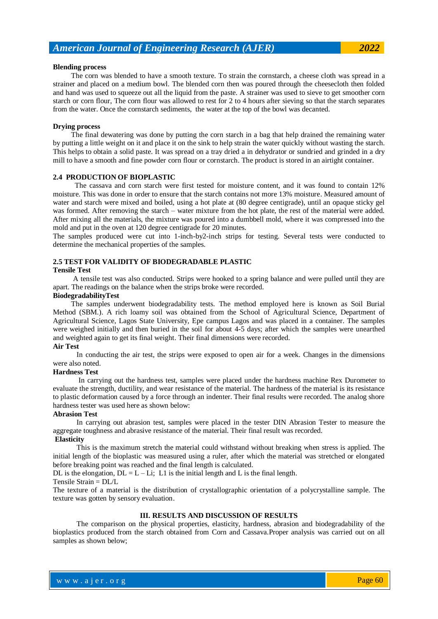#### **Blending process**

 The corn was blended to have a smooth texture. To strain the cornstarch, a cheese cloth was spread in a strainer and placed on a medium bowl. The blended corn then was poured through the cheesecloth then folded and hand was used to squeeze out all the liquid from the paste. A strainer was used to sieve to get smoother corn starch or corn flour, The corn flour was allowed to rest for 2 to 4 hours after sieving so that the starch separates from the water. Once the cornstarch sediments, the water at the top of the bowl was decanted.

## **Drying process**

 The final dewatering was done by putting the corn starch in a bag that help drained the remaining water by putting a little weight on it and place it on the sink to help strain the water quickly without wasting the starch. This helps to obtain a solid paste. It was spread on a tray dried a in dehydrator or sundried and grinded in a dry mill to have a smooth and fine powder corn flour or cornstarch. The product is stored in an airtight container.

# **2.4 PRODUCTION OF BIOPLASTIC**

 The cassava and corn starch were first tested for moisture content, and it was found to contain 12% moisture. This was done in order to ensure that the starch contains not more 13% moisture. Measured amount of water and starch were mixed and boiled, using a hot plate at (80 degree centigrade), until an opaque sticky gel was formed. After removing the starch – water mixture from the hot plate, the rest of the material were added. After mixing all the materials, the mixture was poured into a dumbbell mold, where it was compressed into the mold and put in the oven at 120 degree centigrade for 20 minutes.

The samples produced were cut into 1-inch-by2-inch strips for testing. Several tests were conducted to determine the mechanical properties of the samples.

# **2.5 TEST FOR VALIDITY OF BIODEGRADABLE PLASTIC**

#### **Tensile Test**

 A tensile test was also conducted. Strips were hooked to a spring balance and were pulled until they are apart. The readings on the balance when the strips broke were recorded.

#### **BiodegradabilityTest**

 The samples underwent biodegradability tests. The method employed here is known as Soil Burial Method (SBM.). A rich loamy soil was obtained from the School of Agricultural Science, Department of Agricultural Science, Lagos State University, Epe campus Lagos and was placed in a container. The samples were weighed initially and then buried in the soil for about 4-5 days; after which the samples were unearthed and weighted again to get its final weight. Their final dimensions were recorded.

#### **Air Test**

 In conducting the air test, the strips were exposed to open air for a week. Changes in the dimensions were also noted.

#### **Hardness Test**

 In carrying out the hardness test, samples were placed under the hardness machine Rex Durometer to evaluate the strength, ductility, and wear resistance of the material. The hardness of the material is its resistance to plastic deformation caused by a force through an indenter. Their final results were recorded. The analog shore hardness tester was used here as shown below:

#### **Abrasion Test**

 In carrying out abrasion test, samples were placed in the tester DIN Abrasion Tester to measure the aggregate toughness and abrasive resistance of the material. Their final result was recorded.

# **Elasticity**

 This is the maximum stretch the material could withstand without breaking when stress is applied. The initial length of the bioplastic was measured using a ruler, after which the material was stretched or elongated before breaking point was reached and the final length is calculated.

DL is the elongation,  $DL = L - Li$ ; L1 is the initial length and L is the final length.

#### Tensile Strain = DL/L

The texture of a material is the distribution of crystallographic orientation of a polycrystalline sample. The texture was gotten by sensory evaluation.

#### **III. RESULTS AND DISCUSSION OF RESULTS**

 The comparison on the physical properties, elasticity, hardness, abrasion and biodegradability of the bioplastics produced from the starch obtained from Corn and Cassava.Proper analysis was carried out on all samples as shown below;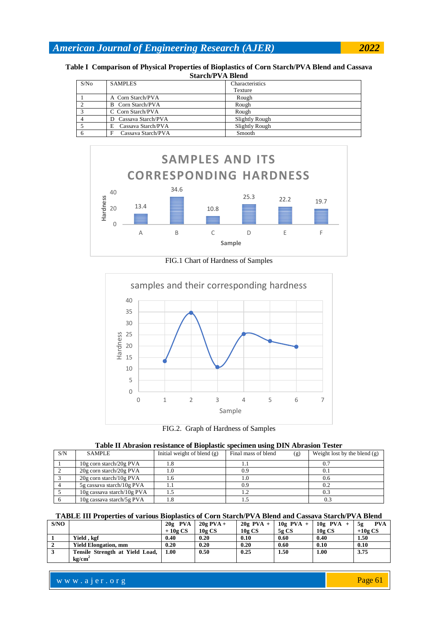|                         |                          | Table I Comparison of Physical Properties of Bioplastics of Corn Starch/PVA Blend and Cassava |  |  |  |  |  |  |
|-------------------------|--------------------------|-----------------------------------------------------------------------------------------------|--|--|--|--|--|--|
| <b>Starch/PVA Blend</b> |                          |                                                                                               |  |  |  |  |  |  |
| S/No                    | <b>SAMPLES</b>           | Characteristics                                                                               |  |  |  |  |  |  |
|                         |                          | Texture                                                                                       |  |  |  |  |  |  |
|                         | A Corn Starch/PVA        | Rough                                                                                         |  |  |  |  |  |  |
|                         | <b>B</b> Corn Starch/PVA | Rough                                                                                         |  |  |  |  |  |  |
|                         | C Corn Starch/PVA        | Rough                                                                                         |  |  |  |  |  |  |
|                         | D Cassava Starch/PVA     | Slightly Rough                                                                                |  |  |  |  |  |  |
|                         | Cassava Starch/PVA<br>F. | Slightly Rough                                                                                |  |  |  |  |  |  |
| 6                       | Cassava Starch/PVA       | Smooth                                                                                        |  |  |  |  |  |  |



FIG.1 Chart of Hardness of Samples



FIG.2. Graph of Hardness of Samples

|  | Table II Abrasion resistance of Bioplastic specimen using DIN Abrasion Tester |  |  |  |  |
|--|-------------------------------------------------------------------------------|--|--|--|--|
|  |                                                                               |  |  |  |  |

| S/N | <b>SAMPLE</b>                | Initial weight of blend $(g)$ | Final mass of blend<br>(g) | Weight lost by the blend $(g)$ |
|-----|------------------------------|-------------------------------|----------------------------|--------------------------------|
|     | 10g corn starch/20g PVA      | 1.8                           |                            |                                |
|     | $20g$ corn starch/ $20g$ PVA |                               | 0.9                        |                                |
|     | $20g$ corn starch/ $10g$ PVA | 1.0                           |                            | 0.6                            |
|     | 5g cassava starch/10g PVA    |                               | 0.9                        | 0.2                            |
|     | 10g cassava starch/10g PVA   |                               |                            |                                |
|     | 10g cassava starch/5g PVA    | 1.8                           |                            | 0.3                            |

# **TABLE III Properties of various Bioplastics of Corn Starch/PVA Blend and Cassava Starch/PVA Blend**

| S/NO |                                 | $20g$ PVA | $20g$ PVA +     | $20g$ PVA +     | $10g$ PVA + | $10g$ PVA +     | <b>PVA</b><br>5g |
|------|---------------------------------|-----------|-----------------|-----------------|-------------|-----------------|------------------|
|      |                                 | $+10gCS$  | $10g\;{\rm CS}$ | $10g\;{\rm CS}$ | 5g CS       | $10g\text{ CS}$ | $+10gCS$         |
|      | Yield, kgf                      | 0.40      | 0.20            | 0.10            | 0.60        | 0.40            | 1.50             |
|      | <b>Yield Elongation, mm</b>     | 0.20      | 0.20            | 0.20            | 0.60        | 0.10            | 0.10             |
|      | Tensile Strength at Yield Load, | 1.00      | 0.50            | 0.25            | 1.50        | 1.00            | 3.75             |
|      | kg/cm <sup>2</sup>              |           |                 |                 |             |                 |                  |

www.ajer.org where  $\mathcal{L} = \mathcal{L} \left( \mathcal{L} \right)$  is the set of  $\mathcal{L} \left( \mathcal{L} \right)$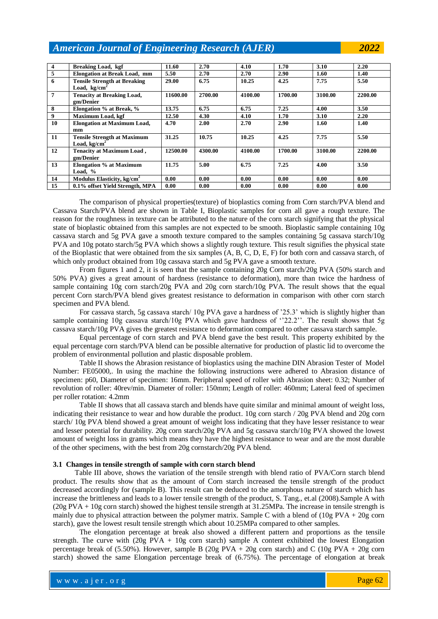**4 Breaking Load, kgf 11.60 2.70 4.10 1.70 3.10 2.20 5 Elongation at Break Load, mm 5.50 2.70 2.70 2.90 1.60 1.40 6 Tensile Strength at Breaking**  Load, kg/cm<sup>2</sup> **29.00 6.75 10.25 4.25 7.75 5.50 7 Tenacity at Breaking Load, gm/Denier 11600.00 2700.00 4100.00 1700.00 3100.00 2200.00 8 Elongation % at Break, % 13.75 6.75 6.75 7.25 4.00 3.50 Maximum Load, kgf 10 Elongation at Maximum Load, mm 4.70 2.00 2.70 2.90 1.60 1.40 11 Tensile Strength at Maximum Load, kg/cm<sup>2</sup> 31.25 10.75 10.25 4.25 7.75 5.50 12 Tenacity at Maximum Load , gm/Denier 12500.00 4300.00 4100.00 1700.00 3100.00 2200.00 13 Elongation % at Maximum Load, % 11.75 5.00 6.75 7.25 4.00 3.50 14 Modulus Elasticity, kg/cm<sup>2</sup> 0.00 0.00 0.00 0.00 0.00 0.00 15 0.1% offset Yield Strength, MPA 0.00 0.00 0.00 0.00 0.00 0.00**

The comparison of physical properties(texture) of bioplastics coming from Corn starch/PVA blend and Cassava Starch/PVA blend are shown in Table I, Bioplastic samples for corn all gave a rough texture. The reason for the roughness in texture can be attributed to the nature of the corn starch signifying that the physical state of bioplastic obtained from this samples are not expected to be smooth. Bioplastic sample containing 10g cassava starch and 5g PVA gave a smooth texture compared to the samples containing 5g cassava starch/10g PVA and 10g potato starch/5g PVA which shows a slightly rough texture. This result signifies the physical state of the Bioplastic that were obtained from the six samples (A, B, C, D, E, F) for both corn and cassava starch, of which only product obtained from 10g cassava starch and 5g PVA gave a smooth texture.

From figures 1 and 2, it is seen that the sample containing 20g Corn starch/20g PVA (50% starch and 50% PVA) gives a great amount of hardness (resistance to deformation), more than twice the hardness of sample containing 10g corn starch/20g PVA and 20g corn starch/10g PVA. The result shows that the equal percent Corn starch/PVA blend gives greatest resistance to deformation in comparison with other corn starch specimen and PVA blend.

For cassava starch, 5g cassava starch/ 10g PVA gave a hardness of '25.3' which is slightly higher than sample containing 10g cassava starch/10g PVA which gave hardness of ''22.2''. The result shows that 5g cassava starch/10g PVA gives the greatest resistance to deformation compared to other cassava starch sample.

Equal percentage of corn starch and PVA blend gave the best result. This property exhibited by the equal percentage corn starch/PVA blend can be possible alternative for production of plastic lid to overcome the problem of environmental pollution and plastic disposable problem.

Table II shows the Abrasion resistance of bioplastics using the machine DIN Abrasion Tester of Model Number: FE05000,. In using the machine the following instructions were adhered to Abrasion distance of specimen: p60, Diameter of specimen: 16mm. Peripheral speed of roller with Abrasion sheet: 0.32; Number of revolution of roller: 40rev/min. Diameter of roller: 150mm; Length of roller: 460mm; Lateral feed of specimen per roller rotation: 4.2mm

Table II shows that all cassava starch and blends have quite similar and minimal amount of weight loss, indicating their resistance to wear and how durable the product. 10g corn starch / 20g PVA blend and 20g corn starch/ 10g PVA blend showed a great amount of weight loss indicating that they have lesser resistance to wear and lesser potential for durability. 20g corn starch/20g PVA and 5g cassava starch/10g PVA showed the lowest amount of weight loss in grams which means they have the highest resistance to wear and are the most durable of the other specimens, with the best from 20g cornstarch/20g PVA blend.

## **3.1 Changes in tensile strength of sample with corn starch blend**

 Table III above, shows the variation of the tensile strength with blend ratio of PVA/Corn starch blend product. The results show that as the amount of Corn starch increased the tensile strength of the product decreased accordingly for (sample B). This result can be deduced to the amorphous nature of starch which has increase the brittleness and leads to a lower tensile strength of the product, S. Tang., et.al (2008).Sample A with  $(20g PVA + 10g$  corn starch) showed the highest tensile strength at 31.25MPa. The increase in tensile strength is mainly due to physical attraction between the polymer matrix. Sample C with a blend of  $(10g PVA + 20g \text{ corn})$ starch), gave the lowest result tensile strength which about 10.25MPa compared to other samples.

The elongation percentage at break also showed a different pattern and proportions as the tensile strength. The curve with  $(20g \text{ PVA} + 10g \text{ corn} \text{ starch})$  sample A content exhibited the lowest Elongation percentage break of (5.50%). However, sample B (20g PVA + 20g corn starch) and C (10g PVA + 20g corn starch) showed the same Elongation percentage break of (6.75%). The percentage of elongation at break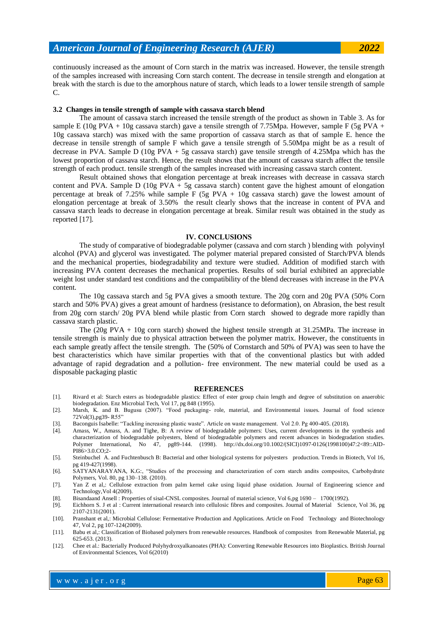continuously increased as the amount of Corn starch in the matrix was increased. However, the tensile strength of the samples increased with increasing Corn starch content. The decrease in tensile strength and elongation at break with the starch is due to the amorphous nature of starch, which leads to a lower tensile strength of sample C.

#### **3.2 Changes in tensile strength of sample with cassava starch blend**

The amount of cassava starch increased the tensile strength of the product as shown in Table 3. As for sample E (10g PVA + 10g cassava starch) gave a tensile strength of 7.75Mpa. However, sample F (5g PVA + 10g cassava starch) was mixed with the same proportion of cassava starch as that of sample E. hence the decrease in tensile strength of sample F which gave a tensile strength of 5.50Mpa might be as a result of decrease in PVA. Sample D (10g PVA + 5g cassava starch) gave tensile strength of 4.25Mpa which has the lowest proportion of cassava starch. Hence, the result shows that the amount of cassava starch affect the tensile strength of each product. tensile strength of the samples increased with increasing cassava starch content.

Result obtained shows that elongation percentage at break increases with decrease in cassava starch content and PVA. Sample  $D$  (10g PVA + 5g cassava starch) content gave the highest amount of elongation percentage at break of 7.25% while sample F (5g PVA + 10g cassava starch) gave the lowest amount of elongation percentage at break of 3.50% the result clearly shows that the increase in content of PVA and cassava starch leads to decrease in elongation percentage at break. Similar result was obtained in the study as reported [17].

#### **IV. CONCLUSIONS**

The study of comparative of biodegradable polymer (cassava and corn starch ) blending with polyvinyl alcohol (PVA) and glycerol was investigated. The polymer material prepared consisted of Starch/PVA blends and the mechanical properties, biodegradability and texture were studied. Addition of modified starch with increasing PVA content decreases the mechanical properties. Results of soil burial exhibited an appreciable weight lost under standard test conditions and the compatibility of the blend decreases with increase in the PVA content.

The 10g cassava starch and 5g PVA gives a smooth texture. The 20g corn and 20g PVA (50% Corn starch and 50% PVA) gives a great amount of hardness (resistance to deformation), on Abrasion, the best result from 20g corn starch/ 20g PVA blend while plastic from Corn starch showed to degrade more rapidly than cassava starch plastic.

The (20g PVA + 10g corn starch) showed the highest tensile strength at 31.25MPa. The increase in tensile strength is mainly due to physical attraction between the polymer matrix. However, the constituents in each sample greatly affect the tensile strength. The (50% of Cornstarch and 50% of PVA) was seen to have the best characteristics which have similar properties with that of the conventional plastics but with added advantage of rapid degradation and a pollution- free environment. The new material could be used as a disposable packaging plastic

#### **REFERENCES**

- [1]. Rivard et al: Starch esters as biodegradable plastics: Effect of ester group chain length and degree of substitution on anaerobic biodegradation. Enz Microbial Tech, Vol 17, pg 848 (1995).
- [2]. Marsh, K. and B. Bugusu (2007). "Food packaging- role, material, and Environmental issues. Journal of food science 72Vol(3),pg39- R55"
- [3]. Baconguis Isabelle: "Tackling increasing plastic waste". Article on waste management. Vol 2.0. Pg 400-405. (2018).
- [4]. Amass, W., Amass, A. and Tighe, B: A review of biodegradable polymers: Uses, current developments in the synthesis and characterization of biodegradable polyesters, blend of biodegradable polymers and recent advances in biodegradation studies. Polymer International, No 47, pg89-144. (1998). http://dx.doi.org/10.1002/(SICI)1097-0126(1998100)47:2<89::AID-PI86>3.0.CO;2-
- [5]. Steinbuchel A. and Fuchtenbusch B: Bacterial and other biological systems for polyesters production. Trends in Biotech, Vol 16, pg 419-427(1998).
- [6]. SATYANARAYANA, K.G:, "Studies of the processing and characterization of corn starch andits composites, Carbohydrate Polymers, Vol. 80, pg 130–138. (2010).
- [7]. Yan Z et al,: Cellulose extraction from palm kernel cake using liquid phase oxidation. Journal of Engineering science and Technology,Vol 4(2009).
- [8]. Bisandaand Ansell : Properties of sisal-CNSL composites. Journal of material science, Vol 6,pg 1690 1700(1992).
- [9]. Eichhorn S. J et al : Current international research into cellulosic fibres and composites. Journal of Material Science, Vol 36, pg 2107-2131(2001).
- [10]. Pranshant et al,: Microbial Cellulose: Fermentative Production and Applications. Article on Food Technology and Biotechnology 47, Vol 2, pg 107-124(2009).
- [11]. Babu et al,: Classification of Biobased polymers from renewable resources. Handbook of composites from Renewable Material, pg 625-653. (2013).
- [12]. Chee et al.: Bacterially Produced Polyhydroxyalkanoates (PHA): Converting Renewable Resources into Bioplastics. British Journal of Environmental Sciences, Vol 6(2010)